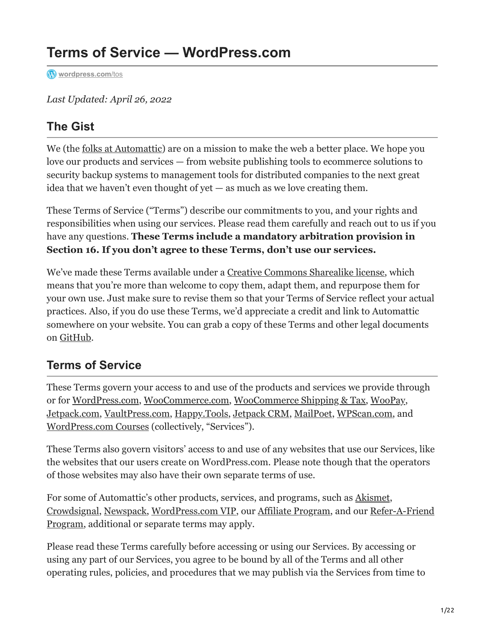# **Terms of Service — WordPress.com**

Wordpress.com/tos

*Last Updated: April 26, 2022*

### **The Gist**

We (the [folks at Automattic\)](https://automattic.com/about/) are on a mission to make the web a better place. We hope you love our products and services — from website publishing tools to ecommerce solutions to security backup systems to management tools for distributed companies to the next great idea that we haven't even thought of yet — as much as we love creating them.

These Terms of Service ("Terms") describe our commitments to you, and your rights and responsibilities when using our services. Please read them carefully and reach out to us if you have any questions. **These Terms include a mandatory arbitration provision in Section 16. If you don't agree to these Terms, don't use our services.**

We've made these Terms available under a [Creative Commons Sharealike license](https://creativecommons.org/licenses/by-sa/4.0/), which means that you're more than welcome to copy them, adapt them, and repurpose them for your own use. Just make sure to revise them so that your Terms of Service reflect your actual practices. Also, if you do use these Terms, we'd appreciate a credit and link to Automattic somewhere on your website. You can grab a copy of these Terms and other legal documents on [GitHub.](https://github.com/Automattic/legalmattic)

#### **Terms of Service**

These Terms govern your access to and use of the products and services we provide through or for [WordPress.com,](https://wordpress.com/) [WooCommerce.com,](https://woocommerce.com/) [WooCommerce Shipping & Tax,](https://wordpress.org/plugins/woocommerce-services/) [WooPay,](https://pay.woo.com/) [Jetpack.com,](https://jetpack.com/) [VaultPress.com](https://vaultpress.com/), [Happy.Tools](https://happy.tools/), [Jetpack CRM](https://jetpackcrm.com/), [MailPoet](http://mailpoet.com/), [WPScan.com,](https://wpscan.com/) and [WordPress.com Courses](https://wpcourses.com/) (collectively, "Services").

These Terms also govern visitors' access to and use of any websites that use our Services, like the websites that our users create on WordPress.com. Please note though that the operators of those websites may also have their own separate terms of use.

For some of Automattic's other products, services, and programs, such as [Akismet](https://akismet.com/), [Crowdsigna](https://crowdsignal.com/)[l,](https://wordpress.com/refer-a-friend-program-terms-of-service/) [Newspac](https://newspack.pub/)[k,](https://wordpress.com/refer-a-friend-program-terms-of-service/) [WordPress.com VI](https://wpvip.com/)[P, our A](https://wordpress.com/refer-a-friend-program-terms-of-service/)[ffiliate Progra](https://refer.wordpress.com/)[m, and our Refer-A-Friend](https://wordpress.com/refer-a-friend-program-terms-of-service/) Program, additional or separate terms may apply.

Please read these Terms carefully before accessing or using our Services. By accessing or using any part of our Services, you agree to be bound by all of the Terms and all other operating rules, policies, and procedures that we may publish via the Services from time to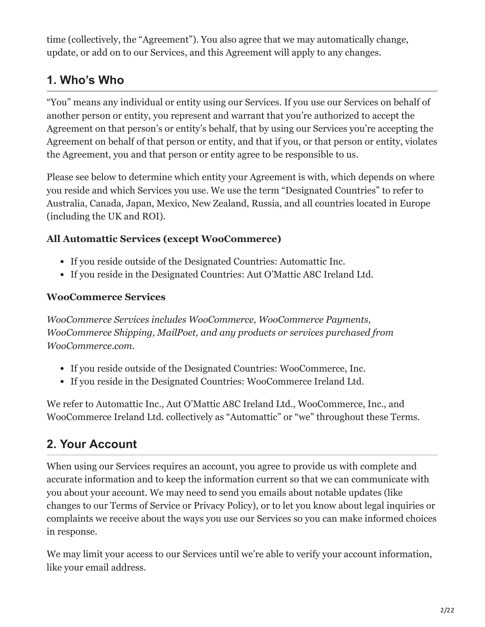time (collectively, the "Agreement"). You also agree that we may automatically change, update, or add on to our Services, and this Agreement will apply to any changes.

### **1. Who's Who**

"You" means any individual or entity using our Services. If you use our Services on behalf of another person or entity, you represent and warrant that you're authorized to accept the Agreement on that person's or entity's behalf, that by using our Services you're accepting the Agreement on behalf of that person or entity, and that if you, or that person or entity, violates the Agreement, you and that person or entity agree to be responsible to us.

Please see below to determine which entity your Agreement is with, which depends on where you reside and which Services you use. We use the term "Designated Countries" to refer to Australia, Canada, Japan, Mexico, New Zealand, Russia, and all countries located in Europe (including the UK and ROI).

#### **All Automattic Services (except WooCommerce)**

- If you reside outside of the Designated Countries: Automattic Inc.
- If you reside in the Designated Countries: Aut O'Mattic A8C Ireland Ltd.

#### **WooCommerce Services**

*WooCommerce Services includes WooCommerce, WooCommerce Payments, WooCommerce Shipping, MailPoet, and any products or services purchased from WooCommerce.com.*

- If you reside outside of the Designated Countries: WooCommerce, Inc.
- If you reside in the Designated Countries: WooCommerce Ireland Ltd.

We refer to Automattic Inc., Aut O'Mattic A8C Ireland Ltd., WooCommerce, Inc., and WooCommerce Ireland Ltd. collectively as "Automattic" or "we" throughout these Terms.

## **2. Your Account**

When using our Services requires an account, you agree to provide us with complete and accurate information and to keep the information current so that we can communicate with you about your account. We may need to send you emails about notable updates (like changes to our Terms of Service or Privacy Policy), or to let you know about legal inquiries or complaints we receive about the ways you use our Services so you can make informed choices in response.

We may limit your access to our Services until we're able to verify your account information, like your email address.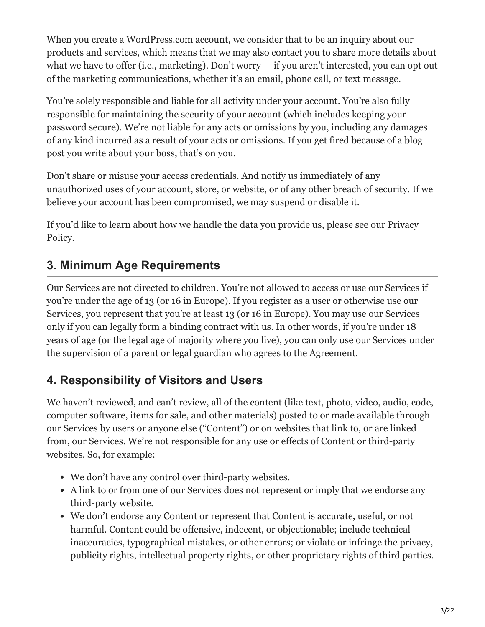When you create a WordPress.com account, we consider that to be an inquiry about our products and services, which means that we may also contact you to share more details about what we have to offer (i.e., marketing). Don't worry — if you aren't interested, you can opt out of the marketing communications, whether it's an email, phone call, or text message.

You're solely responsible and liable for all activity under your account. You're also fully responsible for maintaining the security of your account (which includes keeping your password secure). We're not liable for any acts or omissions by you, including any damages of any kind incurred as a result of your acts or omissions. If you get fired because of a blog post you write about your boss, that's on you.

Don't share or misuse your access credentials. And notify us immediately of any unauthorized uses of your account, store, or website, or of any other breach of security. If we believe your account has been compromised, we may suspend or disable it.

If you'd like to learn about how we handle the data you provide us, please see our **Privacy** Policy.

### **3. Minimum Age Requirements**

Our Services are not directed to children. You're not allowed to access or use our Services if you're under the age of 13 (or 16 in Europe). If you register as a user or otherwise use our Services, you represent that you're at least 13 (or 16 in Europe). You may use our Services only if you can legally form a binding contract with us. In other words, if you're under 18 years of age (or the legal age of majority where you live), you can only use our Services under the supervision of a parent or legal guardian who agrees to the Agreement.

### **4. Responsibility of Visitors and Users**

We haven't reviewed, and can't review, all of the content (like text, photo, video, audio, code, computer software, items for sale, and other materials) posted to or made available through our Services by users or anyone else ("Content") or on websites that link to, or are linked from, our Services. We're not responsible for any use or effects of Content or third-party websites. So, for example:

- We don't have any control over third-party websites.
- A link to or from one of our Services does not represent or imply that we endorse any third-party website.
- We don't endorse any Content or represent that Content is accurate, useful, or not harmful. Content could be offensive, indecent, or objectionable; include technical inaccuracies, typographical mistakes, or other errors; or violate or infringe the privacy, publicity rights, intellectual property rights, or other proprietary rights of third parties.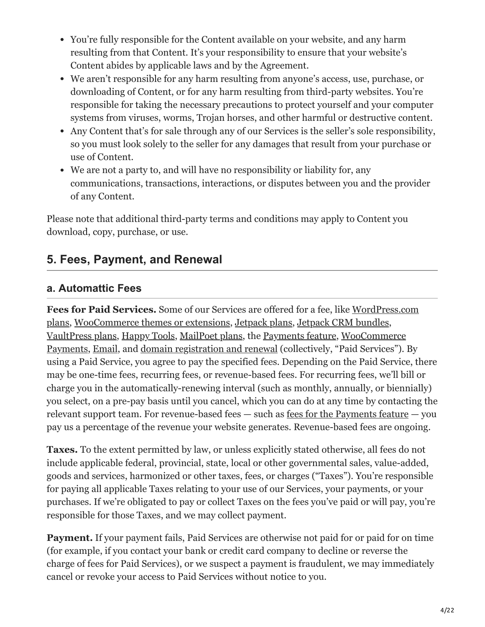- You're fully responsible for the Content available on your website, and any harm resulting from that Content. It's your responsibility to ensure that your website's Content abides by applicable laws and by the Agreement.
- We aren't responsible for any harm resulting from anyone's access, use, purchase, or downloading of Content, or for any harm resulting from third-party websites. You're responsible for taking the necessary precautions to protect yourself and your computer systems from viruses, worms, Trojan horses, and other harmful or destructive content.
- Any Content that's for sale through any of our Services is the seller's sole responsibility, so you must look solely to the seller for any damages that result from your purchase or use of Content.
- We are not a party to, and will have no responsibility or liability for, any communications, transactions, interactions, or disputes between you and the provider of any Content.

Please note that additional third-party terms and conditions may apply to Content you download, copy, purchase, or use.

### **5. Fees, Payment, and Renewal**

#### **a. Automattic Fees**

**Fees for Paid Services.** Some of our Services are offered for a fee, like WordPress.com [plans, WooCommerce themes or extensions, Jetpack plans, Jetpack CRM bundles,](https://wordpress.com/pricing/) [VaultPress plans,](https://vaultpress.com/plans/) [Happy Tools](https://happy.tools/), [MailPoet plans](https://account.mailpoet.com/), the [Payments feature](https://wordpress.com/support/wordpress-editor/blocks/payments/), WooCommerce [Payments, Email, and domain registration and renewal \(collectively, "Paid Services"\).](https://docs.woocommerce.com/document/payments/faq/fees/) By using a Paid Service, you agree to pay the specified fees. Depending on the Paid Service, there may be one-time fees, recurring fees, or revenue-based fees. For recurring fees, we'll bill or charge you in the automatically-renewing interval (such as monthly, annually, or biennially) you select, on a pre-pay basis until you cancel, which you can do at any time by contacting the relevant support team. For revenue-based fees — such as [fees for the Payments feature](https://wordpress.com/support/wordpress-editor/blocks/payments/#related-fees) — you pay us a percentage of the revenue your website generates. Revenue-based fees are ongoing.

**Taxes.** To the extent permitted by law, or unless explicitly stated otherwise, all fees do not include applicable federal, provincial, state, local or other governmental sales, value-added, goods and services, harmonized or other taxes, fees, or charges ("Taxes"). You're responsible for paying all applicable Taxes relating to your use of our Services, your payments, or your purchases. If we're obligated to pay or collect Taxes on the fees you've paid or will pay, you're responsible for those Taxes, and we may collect payment.

**Payment.** If your payment fails, Paid Services are otherwise not paid for or paid for on time (for example, if you contact your bank or credit card company to decline or reverse the charge of fees for Paid Services), or we suspect a payment is fraudulent, we may immediately cancel or revoke your access to Paid Services without notice to you.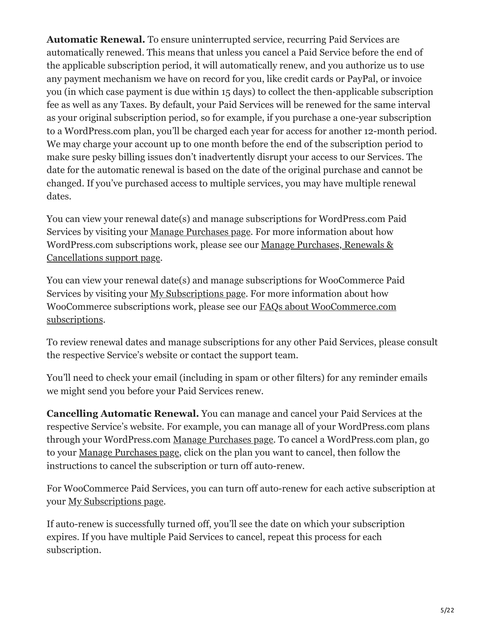**Automatic Renewal.** To ensure uninterrupted service, recurring Paid Services are automatically renewed. This means that unless you cancel a Paid Service before the end of the applicable subscription period, it will automatically renew, and you authorize us to use any payment mechanism we have on record for you, like credit cards or PayPal, or invoice you (in which case payment is due within 15 days) to collect the then-applicable subscription fee as well as any Taxes. By default, your Paid Services will be renewed for the same interval as your original subscription period, so for example, if you purchase a one-year subscription to a WordPress.com plan, you'll be charged each year for access for another 12-month period. We may charge your account up to one month before the end of the subscription period to make sure pesky billing issues don't inadvertently disrupt your access to our Services. The date for the automatic renewal is based on the date of the original purchase and cannot be changed. If you've purchased access to multiple services, you may have multiple renewal dates.

You can view your renewal date(s) and manage subscriptions for WordPress.com Paid Services by visiting your [Manage Purchases page](https://wordpress.com/me/purchases). For more information about how [WordPress.com subscriptions work, please see our Manage Purchases, Renewals &](https://en.support.wordpress.com/manage-purchases/) Cancellations support page.

You can view your renewal date(s) and manage subscriptions for WooCommerce Paid Services by visiting your [My Subscriptions page](http://woocommerce.com/my-account/my-subscriptions/). For more information about how [WooCommerce subscriptions work, please see our FAQs about WooCommerce.com](https://docs.woocommerce.com/document/frequently-asked-questions/#woocommercecom-subscription-questions) subscriptions.

To review renewal dates and manage subscriptions for any other Paid Services, please consult the respective Service's website or contact the support team.

You'll need to check your email (including in spam or other filters) for any reminder emails we might send you before your Paid Services renew.

**Cancelling Automatic Renewal.** You can manage and cancel your Paid Services at the respective Service's website. For example, you can manage all of your WordPress.com plans through your WordPress.com [Manage Purchases page](https://wordpress.com/me/purchases). To cancel a WordPress.com plan, go to your [Manage Purchases page](https://wordpress.com/me/purchases), click on the plan you want to cancel, then follow the instructions to cancel the subscription or turn off auto-renew.

For WooCommerce Paid Services, you can turn off auto-renew for each active subscription at your [My Subscriptions page](http://woocommerce.com/my-account/my-subscriptions/).

If auto-renew is successfully turned off, you'll see the date on which your subscription expires. If you have multiple Paid Services to cancel, repeat this process for each subscription.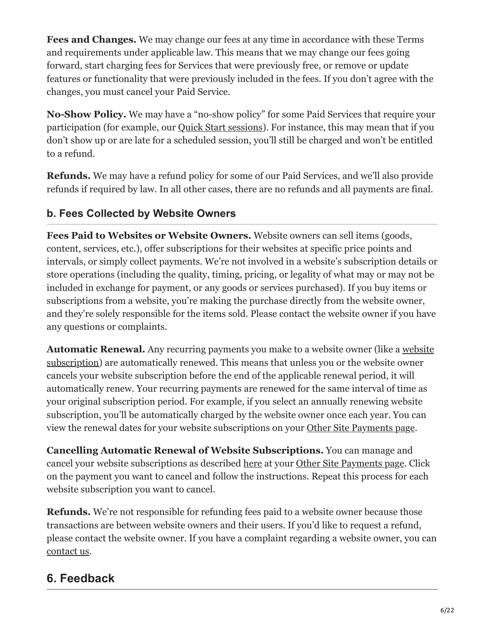**Fees and Changes.** We may change our fees at any time in accordance with these Terms and requirements under applicable law. This means that we may change our fees going forward, start charging fees for Services that were previously free, or remove or update features or functionality that were previously included in the fees. If you don't agree with the changes, you must cancel your Paid Service.

**No-Show Policy.** We may have a "no-show policy" for some Paid Services that require your participation (for example, our [Quick Start sessions\)](https://en.support.wordpress.com/concierge-support/#purchasing-a-session). For instance, this may mean that if you don't show up or are late for a scheduled session, you'll still be charged and won't be entitled to a refund.

**Refunds.** We may have a refund policy for some of our Paid Services, and we'll also provide refunds if required by law. In all other cases, there are no refunds and all payments are final.

#### **b. Fees Collected by Website Owners**

**Fees Paid to Websites or Website Owners.** Website owners can sell items (goods, content, services, etc.), offer subscriptions for their websites at specific price points and intervals, or simply collect payments. We're not involved in a website's subscription details or store operations (including the quality, timing, pricing, or legality of what may or may not be included in exchange for payment, or any goods or services purchased). If you buy items or subscriptions from a website, you're making the purchase directly from the website owner, and they're solely responsible for the items sold. Please contact the website owner if you have any questions or complaints.

**Automatic Renewal.** Any recurring payments you make to a website owner (like a website [subscription\) are automatically renewed. This means that unless you or the website owner](https://en.support.wordpress.com/recurring-payments/) cancels your website subscription before the end of the applicable renewal period, it will automatically renew. Your recurring payments are renewed for the same interval of time as your original subscription period. For example, if you select an annually renewing website subscription, you'll be automatically charged by the website owner once each year. You can view the renewal dates for your website subscriptions on your [Other Site Payments page.](https://wordpress.com/me/purchases/other)

**Cancelling Automatic Renewal of Website Subscriptions.** You can manage and cancel your website subscriptions as described [here](https://wordpress.com/support/recurring-payments/#how-do-i-cancel-a-payment) at your [Other Site Payments page.](https://wordpress.com/me/purchases/other) Click on the payment you want to cancel and follow the instructions. Repeat this process for each website subscription you want to cancel.

**Refunds.** We're not responsible for refunding fees paid to a website owner because those transactions are between website owners and their users. If you'd like to request a refund, please contact the website owner. If you have a complaint regarding a website owner, you can [contact us](https://en.wordpress.com/abuse/).

### **6. Feedback**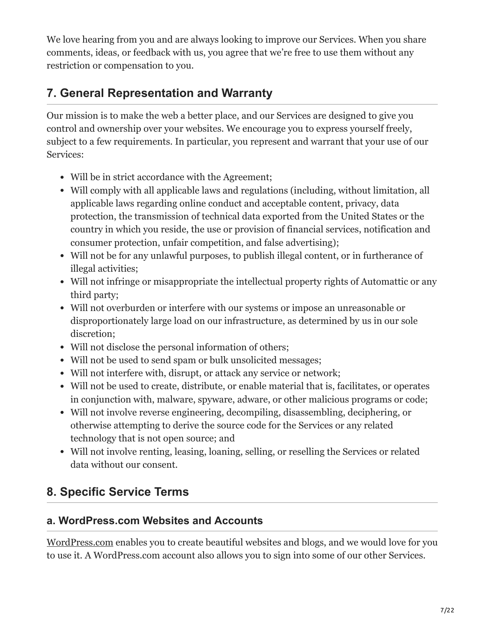We love hearing from you and are always looking to improve our Services. When you share comments, ideas, or feedback with us, you agree that we're free to use them without any restriction or compensation to you.

### **7. General Representation and Warranty**

Our mission is to make the web a better place, and our Services are designed to give you control and ownership over your websites. We encourage you to express yourself freely, subject to a few requirements. In particular, you represent and warrant that your use of our Services:

- Will be in strict accordance with the Agreement;
- Will comply with all applicable laws and regulations (including, without limitation, all applicable laws regarding online conduct and acceptable content, privacy, data protection, the transmission of technical data exported from the United States or the country in which you reside, the use or provision of financial services, notification and consumer protection, unfair competition, and false advertising);
- Will not be for any unlawful purposes, to publish illegal content, or in furtherance of illegal activities;
- Will not infringe or misappropriate the intellectual property rights of Automattic or any third party;
- Will not overburden or interfere with our systems or impose an unreasonable or disproportionately large load on our infrastructure, as determined by us in our sole discretion;
- Will not disclose the personal information of others;
- Will not be used to send spam or bulk unsolicited messages;
- Will not interfere with, disrupt, or attack any service or network;
- Will not be used to create, distribute, or enable material that is, facilitates, or operates in conjunction with, malware, spyware, adware, or other malicious programs or code;
- Will not involve reverse engineering, decompiling, disassembling, deciphering, or otherwise attempting to derive the source code for the Services or any related technology that is not open source; and
- Will not involve renting, leasing, loaning, selling, or reselling the Services or related data without our consent.

# **8. Specific Service Terms**

#### **a. WordPress.com Websites and Accounts**

[WordPress.com](https://wordpress.com/) enables you to create beautiful websites and blogs, and we would love for you to use it. A WordPress.com account also allows you to sign into some of our other Services.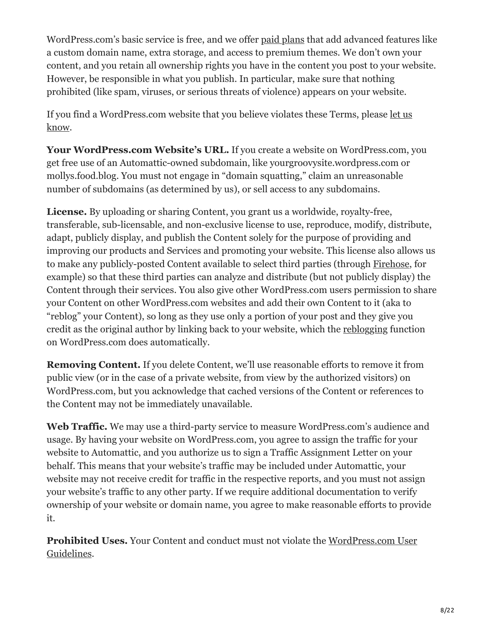WordPress.com's basic service is free, and we offer [paid plans](https://wordpress.com/pricing/) that add advanced features like a custom domain name, extra storage, and access to premium themes. We don't own your content, and you retain all ownership rights you have in the content you post to your website. However, be responsible in what you publish. In particular, make sure that nothing prohibited (like spam, viruses, or serious threats of violence) appears on your website.

[If you find a WordPress.com website that you believe violates these Terms, please let us](https://en.support.wordpress.com/report-blogs/) know.

Your WordPress.com Website's URL. If you create a website on WordPress.com, you get free use of an Automattic-owned subdomain, like yourgroovysite.wordpress.com or mollys.food.blog. You must not engage in "domain squatting," claim an unreasonable number of subdomains (as determined by us), or sell access to any subdomains.

**License.** By uploading or sharing Content, you grant us a worldwide, royalty-free, transferable, sub-licensable, and non-exclusive license to use, reproduce, modify, distribute, adapt, publicly display, and publish the Content solely for the purpose of providing and improving our products and Services and promoting your website. This license also allows us to make any publicly-posted Content available to select third parties (through [Firehose](https://developer.wordpress.com/docs/firehose/), for example) so that these third parties can analyze and distribute (but not publicly display) the Content through their services. You also give other WordPress.com users permission to share your Content on other WordPress.com websites and add their own Content to it (aka to "reblog" your Content), so long as they use only a portion of your post and they give you credit as the original author by linking back to your website, which the [reblogging](https://en.support.wordpress.com/reblogs/) function on WordPress.com does automatically.

**Removing Content.** If you delete Content, we'll use reasonable efforts to remove it from public view (or in the case of a private website, from view by the authorized visitors) on WordPress.com, but you acknowledge that cached versions of the Content or references to the Content may not be immediately unavailable.

Web Traffic. We may use a third-party service to measure WordPress.com's audience and usage. By having your website on WordPress.com, you agree to assign the traffic for your website to Automattic, and you authorize us to sign a Traffic Assignment Letter on your behalf. This means that your website's traffic may be included under Automattic, your website may not receive credit for traffic in the respective reports, and you must not assign your website's traffic to any other party. If we require additional documentation to verify ownership of your website or domain name, you agree to make reasonable efforts to provide it.

**Prohibited Uses.** [Your Content and conduct must not violate the WordPress.com User](https://en.support.wordpress.com/user-guidelines/) Guidelines.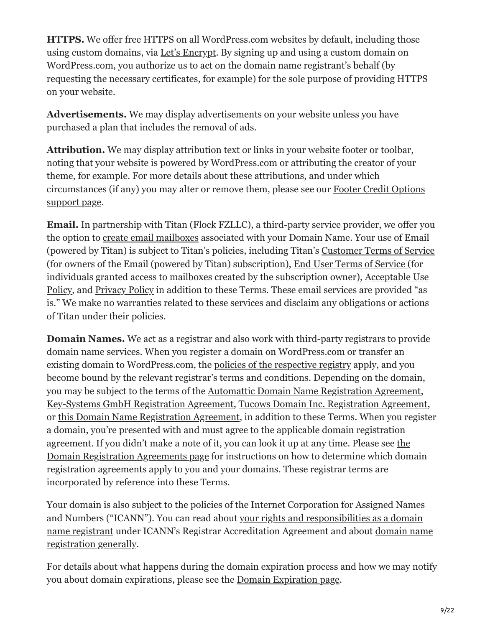**HTTPS.** We offer free HTTPS on all WordPress.com websites by default, including those using custom domains, via [Let's Encrypt.](https://letsencrypt.org/) By signing up and using a custom domain on WordPress.com, you authorize us to act on the domain name registrant's behalf (by requesting the necessary certificates, for example) for the sole purpose of providing HTTPS on your website.

**Advertisements.** We may display advertisements on your website unless you have purchased a plan that includes the removal of ads.

**Attribution.** We may display attribution text or links in your website footer or toolbar, noting that your website is powered by WordPress.com or attributing the creator of your theme, for example. For more details about these attributions, and under which [circumstances \(if any\) you may alter or remove them, please see our Footer Credit Options](https://wordpress.com/support/footer-credits/) support page.

**Email.** In partnership with Titan (Flock FZLLC), a third-party service provider, we offer you the option to [create email mailboxes](https://wordpress.com/support/add-email/adding-titan-email-to-your-site/) associated with your Domain Name. Your use of Email (powered by Titan) is subject to Titan's policies, including Titan's [Customer Terms of Service](https://support.titan.email/hc/en-us/articles/360038024254-Titan-Customer-Terms-of-Use) (for owners of the Email (powered by Titan) subscription), [End User Terms of Service](https://support.titan.email/hc/en-us/articles/900000761843-Titan-End-User-Terms-of-Use-) (for [individuals granted access to mailboxes created by the subscription owner\), Acceptable Use](https://support.titan.email/hc/en-us/articles/900000775226-Titan-Acceptable-Use-Policy) Policy, and [Privacy Policy](https://support.titan.email/hc/en-us/articles/360038535773-Titan-Privacy-Policy) in addition to these Terms. These email services are provided "as is." We make no warranties related to these services and disclaim any obligations or actions of Titan under their policies.

**Domain Names.** We act as a registrar and also work with third-party registrars to provide domain name services. When you register a domain on WordPress.com or transfer an existing domain to WordPress.com, the <u>policies of the respective registry</u> apply, and you become bound by the relevant registrar's terms and conditions. Depending on the domain, you may be subject to the terms of the [Automattic Domain Name Registration Agreement,](https://wordpress.com/automattic-domain-name-registration-agreement/) [Key-Systems GmbH Registration Agreement,](https://www.rrpproxy.net/Legal/Registration_Agreement) [Tucows Domain Inc. Registration Agreement,](https://opensrs.com/wp-content/uploads/Tucows_ExhibitA.html) or [this Domain Name Registration Agreement](https://www.secureserver.net/legal-agreement?id=reg_sa&pageid=reg_sa&pl_id=391143), in addition to these Terms. When you register a domain, you're presented with and must agree to the applicable domain registration [agreement. If you didn't make a note of it, you can look it up at any time. Please see the](http://en.support.wordpress.com/domain-registration-agreements) Domain Registration Agreements page for instructions on how to determine which domain registration agreements apply to you and your domains. These registrar terms are incorporated by reference into these Terms.

Your domain is also subject to the policies of the Internet Corporation for Assigned Names and Numbers ("ICANN"). You can read about your rights and responsibilities as a domain [name registrant under ICANN's Registrar Accreditation Agreement and about domain na](http://www.icann.org/en/resources/registrars/registrant-rights/benefits)[me](https://www.icann.org/resources/pages/educational-2012-02-25-en) registration generally.

For details about what happens during the domain expiration process and how we may notify you about domain expirations, please see the [Domain Expiration page.](https://en.support.wordpress.com/domains/domain-expiration/)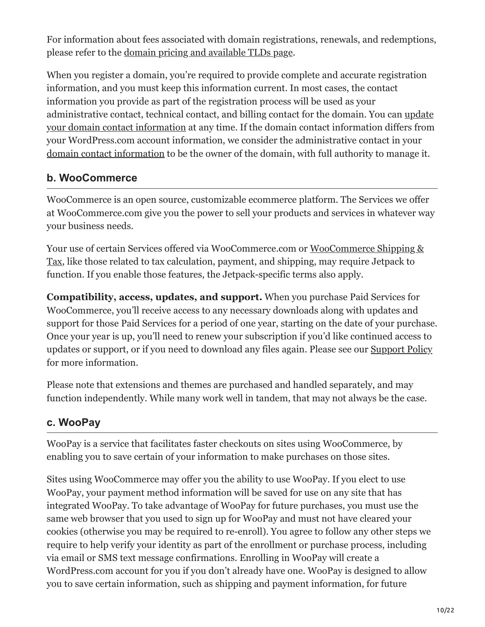For information about fees associated with domain registrations, renewals, and redemptions, please refer to the [domain pricing and available TLDs page.](https://en.support.wordpress.com/domains/domain-pricing-and-available-tlds/)

When you register a domain, you're required to provide complete and accurate registration information, and you must keep this information current. In most cases, the contact information you provide as part of the registration process will be used as your administrative contact, technical contact, and billing contact for the domain. You can update [your domain contact information at any time. If the domain contact information differs from](https://wordpress.com/support/update-contact-information/) your WordPress.com account information, we consider the administrative contact in your [domain contact information](https://wordpress.com/support/update-contact-information/) to be the owner of the domain, with full authority to manage it.

#### **b. WooCommerce**

WooCommerce is an open source, customizable ecommerce platform. The Services we offer at WooCommerce.com give you the power to sell your products and services in whatever way your business needs.

[Your use of certain Services offered via WooCommerce.com or WooCommerce Shipping &](https://docs.woocommerce.com/document/woocommerce-services/) Tax, like those related to tax calculation, payment, and shipping, may require Jetpack to function. If you enable those features, the Jetpack-specific terms also apply.

**Compatibility, access, updates, and support.** When you purchase Paid Services for WooCommerce, you'll receive access to any necessary downloads along with updates and support for those Paid Services for a period of one year, starting on the date of your purchase. Once your year is up, you'll need to renew your subscription if you'd like continued access to updates or support, or if you need to download any files again. Please see our [Support Policy](https://woocommerce.com/support-policy/) for more information.

Please note that extensions and themes are purchased and handled separately, and may function independently. While many work well in tandem, that may not always be the case.

#### **c. WooPay**

WooPay is a service that facilitates faster checkouts on sites using WooCommerce, by enabling you to save certain of your information to make purchases on those sites.

Sites using WooCommerce may offer you the ability to use WooPay. If you elect to use WooPay, your payment method information will be saved for use on any site that has integrated WooPay. To take advantage of WooPay for future purchases, you must use the same web browser that you used to sign up for WooPay and must not have cleared your cookies (otherwise you may be required to re-enroll). You agree to follow any other steps we require to help verify your identity as part of the enrollment or purchase process, including via email or SMS text message confirmations. Enrolling in WooPay will create a WordPress.com account for you if you don't already have one. WooPay is designed to allow you to save certain information, such as shipping and payment information, for future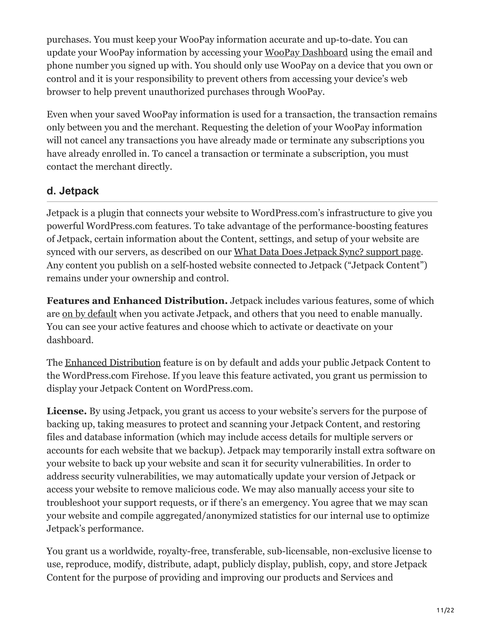purchases. You must keep your WooPay information accurate and up-to-date. You can update your WooPay information by accessing your [WooPay Dashboard](https://pay.woo.com/account/) using the email and phone number you signed up with. You should only use WooPay on a device that you own or control and it is your responsibility to prevent others from accessing your device's web browser to help prevent unauthorized purchases through WooPay.

Even when your saved WooPay information is used for a transaction, the transaction remains only between you and the merchant. Requesting the deletion of your WooPay information will not cancel any transactions you have already made or terminate any subscriptions you have already enrolled in. To cancel a transaction or terminate a subscription, you must contact the merchant directly.

#### **d. Jetpack**

Jetpack is a plugin that connects your website to WordPress.com's infrastructure to give you powerful WordPress.com features. To take advantage of the performance-boosting features of Jetpack, certain information about the Content, settings, and setup of your website are synced with our servers, as described on our [What Data Does Jetpack Sync? support page.](https://jetpack.com/support/what-data-does-jetpack-sync/) Any content you publish on a self-hosted website connected to Jetpack ("Jetpack Content") remains under your ownership and control.

**Features and Enhanced Distribution.** Jetpack includes various features, some of which are [on by default](https://jetpack.com/support/default-features/) when you activate Jetpack, and others that you need to enable manually. You can see your active features and choose which to activate or deactivate on your dashboard.

The [Enhanced Distribution](https://jetpack.com/support/enhanced-distribution/) feature is on by default and adds your public Jetpack Content to the WordPress.com Firehose. If you leave this feature activated, you grant us permission to display your Jetpack Content on WordPress.com.

**License.** By using Jetpack, you grant us access to your website's servers for the purpose of backing up, taking measures to protect and scanning your Jetpack Content, and restoring files and database information (which may include access details for multiple servers or accounts for each website that we backup). Jetpack may temporarily install extra software on your website to back up your website and scan it for security vulnerabilities. In order to address security vulnerabilities, we may automatically update your version of Jetpack or access your website to remove malicious code. We may also manually access your site to troubleshoot your support requests, or if there's an emergency. You agree that we may scan your website and compile aggregated/anonymized statistics for our internal use to optimize Jetpack's performance.

You grant us a worldwide, royalty-free, transferable, sub-licensable, non-exclusive license to use, reproduce, modify, distribute, adapt, publicly display, publish, copy, and store Jetpack Content for the purpose of providing and improving our products and Services and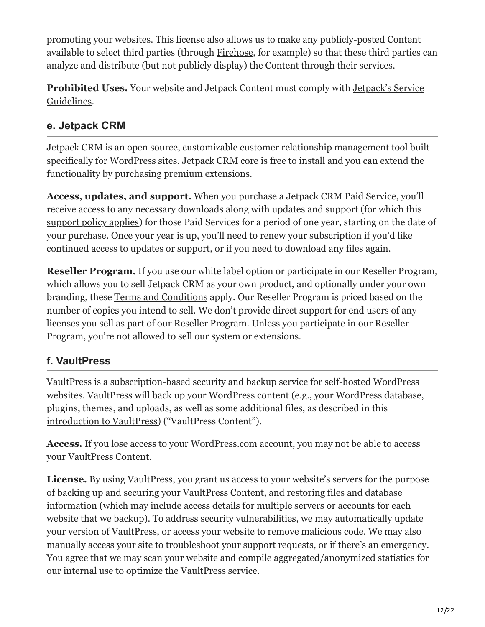promoting your websites. This license also allows us to make any publicly-posted Content available to select third parties (through [Firehose,](https://developer.wordpress.com/docs/firehose/) for example) so that these third parties can analyze and distribute (but not publicly display) the Content through their services.

**Prohibited Uses.** [Your website and Jetpack Content must comply with Jetpack's Service](https://jetpack.com/service-guidelines/) Guidelines.

#### **e. Jetpack CRM**

Jetpack CRM is an open source, customizable customer relationship management tool built specifically for WordPress sites. Jetpack CRM core is free to install and you can extend the functionality by purchasing premium extensions.

**Access, updates, and support.** When you purchase a Jetpack CRM Paid Service, you'll receive access to any necessary downloads along with updates and support (for which this [support policy applies\)](https://kb.jetpackcrm.com/jetpackcrm-support-policy/) for those Paid Services for a period of one year, starting on the date of your purchase. Once your year is up, you'll need to renew your subscription if you'd like continued access to updates or support, or if you need to download any files again.

**Reseller Program.** If you use our white label option or participate in our [Reseller Program](https://jetpackcrm.com/reseller/), which allows you to sell Jetpack CRM as your own product, and optionally under your own branding, these [Terms and Conditions](https://app.jetpackcrm.com/app/rebrandr/terms/) apply. Our Reseller Program is priced based on the number of copies you intend to sell. We don't provide direct support for end users of any licenses you sell as part of our Reseller Program. Unless you participate in our Reseller Program, you're not allowed to sell our system or extensions.

#### **f. VaultPress**

VaultPress is a subscription-based security and backup service for self-hosted WordPress websites. VaultPress will back up your WordPress content (e.g., your WordPress database, plugins, themes, and uploads, as well as some additional files, as described in this [introduction to VaultPress\)](https://help.vaultpress.com/get-to-know/) ("VaultPress Content").

**Access.** If you lose access to your WordPress.com account, you may not be able to access your VaultPress Content.

**License.** By using VaultPress, you grant us access to your website's servers for the purpose of backing up and securing your VaultPress Content, and restoring files and database information (which may include access details for multiple servers or accounts for each website that we backup). To address security vulnerabilities, we may automatically update your version of VaultPress, or access your website to remove malicious code. We may also manually access your site to troubleshoot your support requests, or if there's an emergency. You agree that we may scan your website and compile aggregated/anonymized statistics for our internal use to optimize the VaultPress service.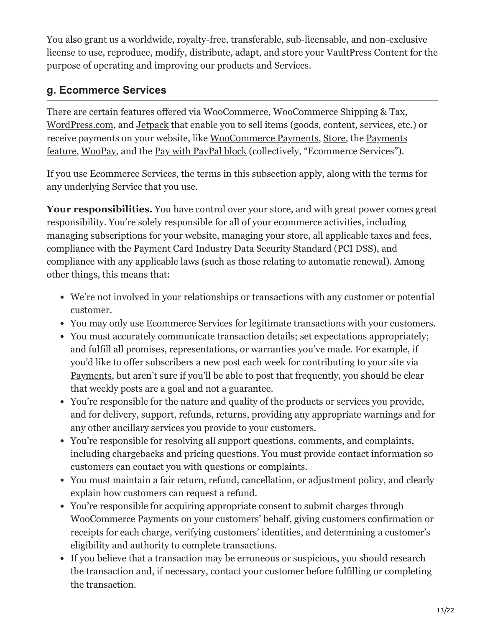You also grant us a worldwide, royalty-free, transferable, sub-licensable, and non-exclusive license to use, reproduce, modify, distribute, adapt, and store your VaultPress Content for the purpose of operating and improving our products and Services.

#### **g. Ecommerce Services**

There are certain features offered via [WooCommerce,](https://woocommerce.com/) [WooCommerce Shipping & Tax,](https://wordpress.org/plugins/woocommerce-services/) [WordPress.com](https://wordpress.com/), and [Jetpack](https://jetpack.com/) that enable you to sell items (goods, content, services, etc.) or [receive payments on your website, like W](https://wordpress.com/support/wordpress-editor/blocks/payments/)[ooCommerce Payment](https://woocommerce.com/payments/)[s, S](https://wordpress.com/support/wordpress-editor/blocks/payments/)[tor](https://wordpress.com/support/store/)[e, the Payments](https://wordpress.com/support/wordpress-editor/blocks/payments/) feature, [WooPay](https://pay.woo.com/), and the [Pay with PayPal block](https://wordpress.com/support/pay-with-paypal/) (collectively, "Ecommerce Services").

If you use Ecommerce Services, the terms in this subsection apply, along with the terms for any underlying Service that you use.

**Your responsibilities.** You have control over your store, and with great power comes great responsibility. You're solely responsible for all of your ecommerce activities, including managing subscriptions for your website, managing your store, all applicable taxes and fees, compliance with the Payment Card Industry Data Security Standard (PCI DSS), and compliance with any applicable laws (such as those relating to automatic renewal). Among other things, this means that:

- We're not involved in your relationships or transactions with any customer or potential customer.
- You may only use Ecommerce Services for legitimate transactions with your customers.
- You must accurately communicate transaction details; set expectations appropriately; and fulfill all promises, representations, or warranties you've made. For example, if you'd like to offer subscribers a new post each week for contributing to your site via [Payments](https://en.support.wordpress.com/recurring-payments-button/), but aren't sure if you'll be able to post that frequently, you should be clear that weekly posts are a goal and not a guarantee.
- You're responsible for the nature and quality of the products or services you provide, and for delivery, support, refunds, returns, providing any appropriate warnings and for any other ancillary services you provide to your customers.
- You're responsible for resolving all support questions, comments, and complaints, including chargebacks and pricing questions. You must provide contact information so customers can contact you with questions or complaints.
- You must maintain a fair return, refund, cancellation, or adjustment policy, and clearly explain how customers can request a refund.
- You're responsible for acquiring appropriate consent to submit charges through WooCommerce Payments on your customers' behalf, giving customers confirmation or receipts for each charge, verifying customers' identities, and determining a customer's eligibility and authority to complete transactions.
- If you believe that a transaction may be erroneous or suspicious, you should research the transaction and, if necessary, contact your customer before fulfilling or completing the transaction.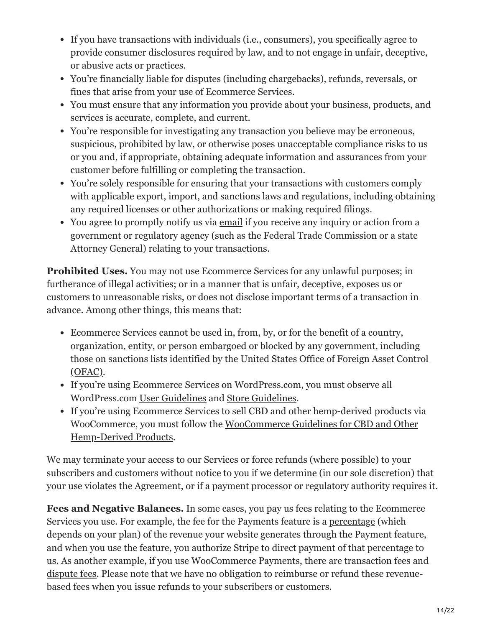- If you have transactions with individuals (i.e., consumers), you specifically agree to provide consumer disclosures required by law, and to not engage in unfair, deceptive, or abusive acts or practices.
- You're financially liable for disputes (including chargebacks), refunds, reversals, or fines that arise from your use of Ecommerce Services.
- You must ensure that any information you provide about your business, products, and services is accurate, complete, and current.
- You're responsible for investigating any transaction you believe may be erroneous, suspicious, prohibited by law, or otherwise poses unacceptable compliance risks to us or you and, if appropriate, obtaining adequate information and assurances from your customer before fulfilling or completing the transaction.
- You're solely responsible for ensuring that your transactions with customers comply with applicable export, import, and sanctions laws and regulations, including obtaining any required licenses or other authorizations or making required filings.
- You agree to promptly notify us via [email](mailto:legal@wordpress.com) if you receive any inquiry or action from a government or regulatory agency (such as the Federal Trade Commission or a state Attorney General) relating to your transactions.

**Prohibited Uses.** You may not use Ecommerce Services for any unlawful purposes; in furtherance of illegal activities; or in a manner that is unfair, deceptive, exposes us or customers to unreasonable risks, or does not disclose important terms of a transaction in advance. Among other things, this means that:

- Ecommerce Services cannot be used in, from, by, or for the benefit of a country, organization, entity, or person embargoed or blocked by any government, including [those on sanctions lists identified by the United States Office of Foreign Asset Control](https://www.treasury.gov/resource-center/sanctions) (OFAC).
- If you're using Ecommerce Services on WordPress.com, you must observe all WordPress.com [User Guidelines](https://en.support.wordpress.com/user-guidelines/) and [Store Guidelines](https://en.support.wordpress.com/store-guidelines/).
- If you're using Ecommerce Services to sell CBD and other hemp-derived products via [WooCommerce, you must follow the WooCommerce Guidelines for CBD and Other](https://docs.woocommerce.com/document/woocommerce-cbd/) Hemp-Derived Products.

We may terminate your access to our Services or force refunds (where possible) to your subscribers and customers without notice to you if we determine (in our sole discretion) that your use violates the Agreement, or if a payment processor or regulatory authority requires it.

**Fees and Negative Balances.** In some cases, you pay us fees relating to the Ecommerce Services you use. For example, the fee for the Payments feature is a <u>percentage</u> (which depends on your plan) of the revenue your website generates through the Payment feature, and when you use the feature, you authorize Stripe to direct payment of that percentage to [us. As another example, if you use WooCommerce Payments, there are transaction fees and](https://docs.woocommerce.com/document/payments/faq/fees/) dispute fees. Please note that we have no obligation to reimburse or refund these revenuebased fees when you issue refunds to your subscribers or customers.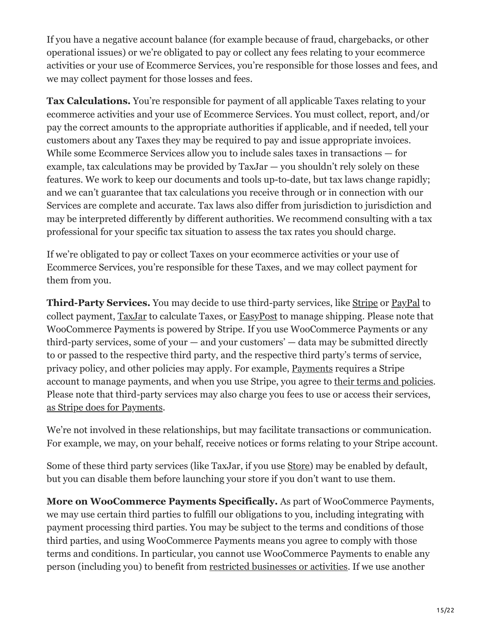If you have a negative account balance (for example because of fraud, chargebacks, or other operational issues) or we're obligated to pay or collect any fees relating to your ecommerce activities or your use of Ecommerce Services, you're responsible for those losses and fees, and we may collect payment for those losses and fees.

**Tax Calculations.** You're responsible for payment of all applicable Taxes relating to your ecommerce activities and your use of Ecommerce Services. You must collect, report, and/or pay the correct amounts to the appropriate authorities if applicable, and if needed, tell your customers about any Taxes they may be required to pay and issue appropriate invoices. While some Ecommerce Services allow you to include sales taxes in transactions — for example, tax calculations may be provided by TaxJar — you shouldn't rely solely on these features. We work to keep our documents and tools up-to-date, but tax laws change rapidly; and we can't guarantee that tax calculations you receive through or in connection with our Services are complete and accurate. Tax laws also differ from jurisdiction to jurisdiction and may be interpreted differently by different authorities. We recommend consulting with a tax professional for your specific tax situation to assess the tax rates you should charge.

If we're obligated to pay or collect Taxes on your ecommerce activities or your use of Ecommerce Services, you're responsible for these Taxes, and we may collect payment for them from you.

**Third-Party Services.** You may decide to use third-party services, like **[Stripe](https://stripe.com/)** or **PayPal** to collect payment, [TaxJar](https://www.taxjar.com/) to calculate Taxes, or [EasyPost](https://www.easypost.com/) to manage shipping. Please note that WooCommerce Payments is powered by Stripe. If you use WooCommerce Payments or any third-party services, some of your  $-$  and your customers'  $-$  data may be submitted directly to or passed to the respective third party, and the respective third party's terms of service, privacy policy, and other policies may apply. For example, [Payments](https://wordpress.com/support/wordpress-editor/blocks/payments/) requires a Stripe account to manage payments, and when you use Stripe, you agree to [their terms and policies.](https://stripe.com/legal) Please note that third-party services may also charge you fees to use or access their services, [as Stripe does for Payments.](https://wordpress.com/support/wordpress-editor/blocks/payments/#related-fees)

We're not involved in these relationships, but may facilitate transactions or communication. For example, we may, on your behalf, receive notices or forms relating to your Stripe account.

Some of these third party services (like TaxJar, if you use [Store](https://en.support.wordpress.com/store/)) may be enabled by default, but you can disable them before launching your store if you don't want to use them.

**More on WooCommerce Payments Specifically.** As part of WooCommerce Payments, we may use certain third parties to fulfill our obligations to you, including integrating with payment processing third parties. You may be subject to the terms and conditions of those third parties, and using WooCommerce Payments means you agree to comply with those terms and conditions. In particular, you cannot use WooCommerce Payments to enable any person (including you) to benefit from [restricted businesses or activities](https://wordpress.com/support/restricted-businesses-and-activities/). If we use another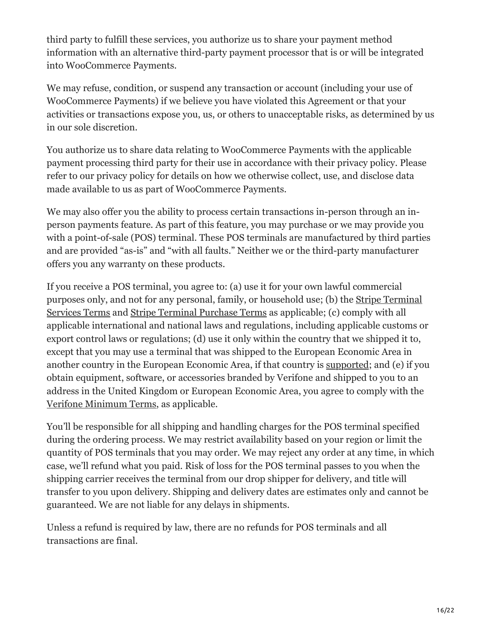third party to fulfill these services, you authorize us to share your payment method information with an alternative third-party payment processor that is or will be integrated into WooCommerce Payments.

We may refuse, condition, or suspend any transaction or account (including your use of WooCommerce Payments) if we believe you have violated this Agreement or that your activities or transactions expose you, us, or others to unacceptable risks, as determined by us in our sole discretion.

You authorize us to share data relating to WooCommerce Payments with the applicable payment processing third party for their use in accordance with their privacy policy. Please refer to our privacy policy for details on how we otherwise collect, use, and disclose data made available to us as part of WooCommerce Payments.

We may also offer you the ability to process certain transactions in-person through an inperson payments feature. As part of this feature, you may purchase or we may provide you with a point-of-sale (POS) terminal. These POS terminals are manufactured by third parties and are provided "as-is" and "with all faults." Neither we or the third-party manufacturer offers you any warranty on these products.

If you receive a POS terminal, you agree to: (a) use it for your own lawful commercial [purposes only, and not for any personal, family, or household use; \(b\) the Stripe Terminal](https://stripe.com/terminal/legal) Services Terms and [Stripe Terminal Purchase Terms](https://stripe.com/terminal-purchase/legal) as applicable; (c) comply with all applicable international and national laws and regulations, including applicable customs or export control laws or regulations; (d) use it only within the country that we shipped it to, except that you may use a terminal that was shipped to the European Economic Area in another country in the European Economic Area, if that country is [supported;](https://stripe.com/docs/terminal/readers/placing-orders) and (e) if you obtain equipment, software, or accessories branded by Verifone and shipped to you to an address in the United Kingdom or European Economic Area, you agree to comply with the [Verifone Minimum Terms](https://stripe.com/us/verifone/legal), as applicable.

You'll be responsible for all shipping and handling charges for the POS terminal specified during the ordering process. We may restrict availability based on your region or limit the quantity of POS terminals that you may order. We may reject any order at any time, in which case, we'll refund what you paid. Risk of loss for the POS terminal passes to you when the shipping carrier receives the terminal from our drop shipper for delivery, and title will transfer to you upon delivery. Shipping and delivery dates are estimates only and cannot be guaranteed. We are not liable for any delays in shipments.

Unless a refund is required by law, there are no refunds for POS terminals and all transactions are final.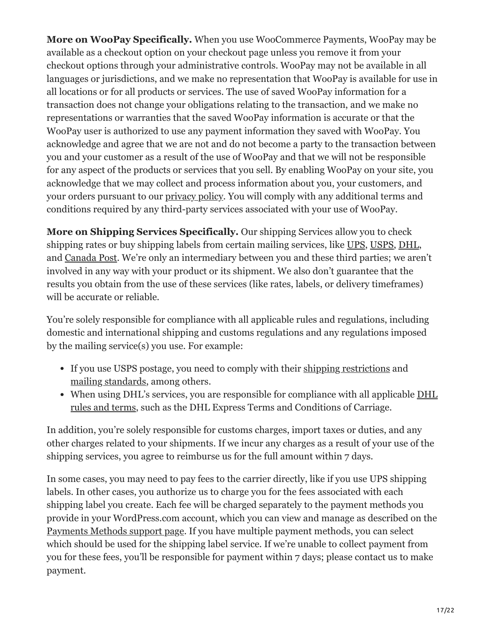**More on WooPay Specifically.** When you use WooCommerce Payments, WooPay may be available as a checkout option on your checkout page unless you remove it from your checkout options through your administrative controls. WooPay may not be available in all languages or jurisdictions, and we make no representation that WooPay is available for use in all locations or for all products or services. The use of saved WooPay information for a transaction does not change your obligations relating to the transaction, and we make no representations or warranties that the saved WooPay information is accurate or that the WooPay user is authorized to use any payment information they saved with WooPay. You acknowledge and agree that we are not and do not become a party to the transaction between you and your customer as a result of the use of WooPay and that we will not be responsible for any aspect of the products or services that you sell. By enabling WooPay on your site, you acknowledge that we may collect and process information about you, your customers, and your orders pursuant to our [privacy policy.](https://automattic.com/privacy/) You will comply with any additional terms and conditions required by any third-party services associated with your use of WooPay.

**More on Shipping Services Specifically.** Our shipping Services allow you to check shipping rates or buy shipping labels from certain mailing services, like [UPS](https://www.ups.com/), [USPS](https://www.usps.com/), [DHL,](https://www.dhl.com/) and [Canada Post.](https://www.canadapost.ca/) We're only an intermediary between you and these third parties; we aren't involved in any way with your product or its shipment. We also don't guarantee that the results you obtain from the use of these services (like rates, labels, or delivery timeframes) will be accurate or reliable.

You're solely responsible for compliance with all applicable rules and regulations, including domestic and international shipping and customs regulations and any regulations imposed by the mailing service(s) you use. For example:

- If you use USPS postage, you need to comply with their [shipping restrictions](https://www.usps.com/ship/shipping-restrictions.htm) and [mailing standards](http://pe.usps.com/text/dmm300/dmm300_landing.htm), among others.
- [When using DHL's services, you are responsible for compliance with all applicable DHL](http://www.dhl-usa.com/) rules and terms, such as the DHL Express Terms and Conditions of Carriage.

In addition, you're solely responsible for customs charges, import taxes or duties, and any other charges related to your shipments. If we incur any charges as a result of your use of the shipping services, you agree to reimburse us for the full amount within 7 days.

In some cases, you may need to pay fees to the carrier directly, like if you use UPS shipping labels. In other cases, you authorize us to charge you for the fees associated with each shipping label you create. Each fee will be charged separately to the payment methods you provide in your WordPress.com account, which you can view and manage as described on the [Payments Methods support page](https://en.support.wordpress.com/payment/). If you have multiple payment methods, you can select which should be used for the shipping label service. If we're unable to collect payment from you for these fees, you'll be responsible for payment within 7 days; please contact us to make payment.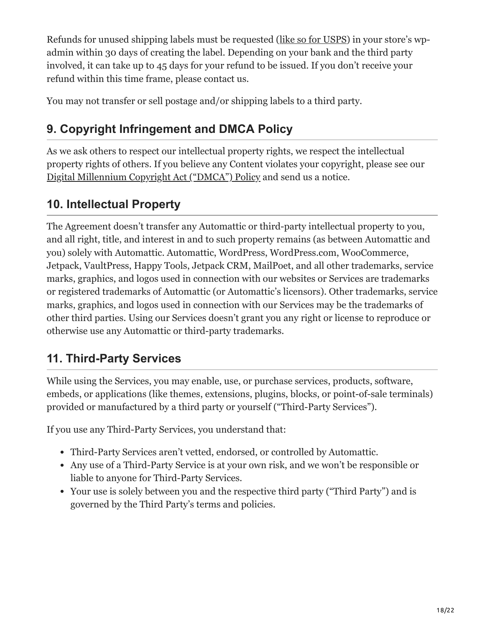Refunds for unused shipping labels must be requested ([like so for USPS\)](https://docs.woocommerce.com/document/woocommerce-shipping-and-tax/woocommerce-shipping/#section-7) in your store's wpadmin within 30 days of creating the label. Depending on your bank and the third party involved, it can take up to 45 days for your refund to be issued. If you don't receive your refund within this time frame, please contact us.

You may not transfer or sell postage and/or shipping labels to a third party.

# **9. Copyright Infringement and DMCA Policy**

As we ask others to respect our intellectual property rights, we respect the intellectual property rights of others. If you believe any Content violates your copyright, please see our [Digital Millennium Copyright Act \("DMCA"\) Policy](https://automattic.com/dmca-notice/) and send us a notice.

## **10. Intellectual Property**

The Agreement doesn't transfer any Automattic or third-party intellectual property to you, and all right, title, and interest in and to such property remains (as between Automattic and you) solely with Automattic. Automattic, WordPress, WordPress.com, WooCommerce, Jetpack, VaultPress, Happy Tools, Jetpack CRM, MailPoet, and all other trademarks, service marks, graphics, and logos used in connection with our websites or Services are trademarks or registered trademarks of Automattic (or Automattic's licensors). Other trademarks, service marks, graphics, and logos used in connection with our Services may be the trademarks of other third parties. Using our Services doesn't grant you any right or license to reproduce or otherwise use any Automattic or third-party trademarks.

## **11. Third-Party Services**

While using the Services, you may enable, use, or purchase services, products, software, embeds, or applications (like themes, extensions, plugins, blocks, or point-of-sale terminals) provided or manufactured by a third party or yourself ("Third-Party Services").

If you use any Third-Party Services, you understand that:

- Third-Party Services aren't vetted, endorsed, or controlled by Automattic.
- Any use of a Third-Party Service is at your own risk, and we won't be responsible or liable to anyone for Third-Party Services.
- Your use is solely between you and the respective third party ("Third Party") and is governed by the Third Party's terms and policies.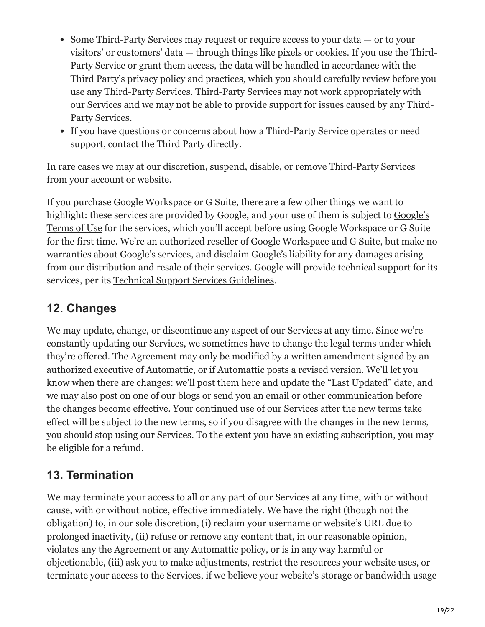- Some Third-Party Services may request or require access to your data or to your visitors' or customers' data — through things like pixels or cookies. If you use the Third-Party Service or grant them access, the data will be handled in accordance with the Third Party's privacy policy and practices, which you should carefully review before you use any Third-Party Services. Third-Party Services may not work appropriately with our Services and we may not be able to provide support for issues caused by any Third-Party Services.
- If you have questions or concerns about how a Third-Party Service operates or need support, contact the Third Party directly.

In rare cases we may at our discretion, suspend, disable, or remove Third-Party Services from your account or website.

If you purchase Google Workspace or G Suite, there are a few other things we want to [highlight: these services are provided by Google, and your use of them is subject to Google's](https://workspace.google.com/terms/premier_terms.html) Terms of Use for the services, which you'll accept before using Google Workspace or G Suite for the first time. We're an authorized reseller of Google Workspace and G Suite, but make no warranties about Google's services, and disclaim Google's liability for any damages arising from our distribution and resale of their services. Google will provide technical support for its services, per its [Technical Support Services Guidelines](https://www.google.com/apps/intl/en/terms/tssg.html).

### **12. Changes**

We may update, change, or discontinue any aspect of our Services at any time. Since we're constantly updating our Services, we sometimes have to change the legal terms under which they're offered. The Agreement may only be modified by a written amendment signed by an authorized executive of Automattic, or if Automattic posts a revised version. We'll let you know when there are changes: we'll post them here and update the "Last Updated" date, and we may also post on one of our blogs or send you an email or other communication before the changes become effective. Your continued use of our Services after the new terms take effect will be subject to the new terms, so if you disagree with the changes in the new terms, you should stop using our Services. To the extent you have an existing subscription, you may be eligible for a refund.

## **13. Termination**

We may terminate your access to all or any part of our Services at any time, with or without cause, with or without notice, effective immediately. We have the right (though not the obligation) to, in our sole discretion, (i) reclaim your username or website's URL due to prolonged inactivity, (ii) refuse or remove any content that, in our reasonable opinion, violates any the Agreement or any Automattic policy, or is in any way harmful or objectionable, (iii) ask you to make adjustments, restrict the resources your website uses, or terminate your access to the Services, if we believe your website's storage or bandwidth usage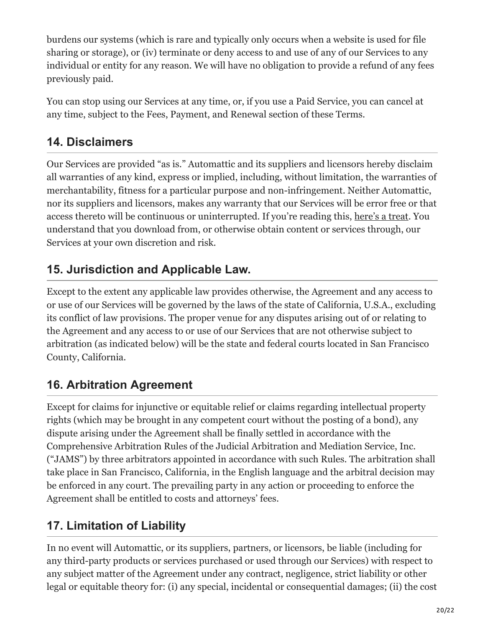burdens our systems (which is rare and typically only occurs when a website is used for file sharing or storage), or (iv) terminate or deny access to and use of any of our Services to any individual or entity for any reason. We will have no obligation to provide a refund of any fees previously paid.

You can stop using our Services at any time, or, if you use a Paid Service, you can cancel at any time, subject to the Fees, Payment, and Renewal section of these Terms.

## **14. Disclaimers**

Our Services are provided "as is." Automattic and its suppliers and licensors hereby disclaim all warranties of any kind, express or implied, including, without limitation, the warranties of merchantability, fitness for a particular purpose and non-infringement. Neither Automattic, nor its suppliers and licensors, makes any warranty that our Services will be error free or that access thereto will be continuous or uninterrupted. If you're reading this, [here's a treat.](https://wordpress.com/tos/treat/) You understand that you download from, or otherwise obtain content or services through, our Services at your own discretion and risk.

## **15. Jurisdiction and Applicable Law.**

Except to the extent any applicable law provides otherwise, the Agreement and any access to or use of our Services will be governed by the laws of the state of California, U.S.A., excluding its conflict of law provisions. The proper venue for any disputes arising out of or relating to the Agreement and any access to or use of our Services that are not otherwise subject to arbitration (as indicated below) will be the state and federal courts located in San Francisco County, California.

## **16. Arbitration Agreement**

Except for claims for injunctive or equitable relief or claims regarding intellectual property rights (which may be brought in any competent court without the posting of a bond), any dispute arising under the Agreement shall be finally settled in accordance with the Comprehensive Arbitration Rules of the Judicial Arbitration and Mediation Service, Inc. ("JAMS") by three arbitrators appointed in accordance with such Rules. The arbitration shall take place in San Francisco, California, in the English language and the arbitral decision may be enforced in any court. The prevailing party in any action or proceeding to enforce the Agreement shall be entitled to costs and attorneys' fees.

# **17. Limitation of Liability**

In no event will Automattic, or its suppliers, partners, or licensors, be liable (including for any third-party products or services purchased or used through our Services) with respect to any subject matter of the Agreement under any contract, negligence, strict liability or other legal or equitable theory for: (i) any special, incidental or consequential damages; (ii) the cost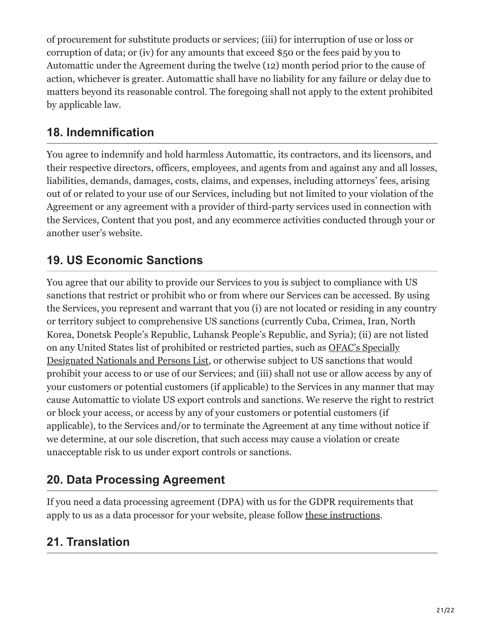of procurement for substitute products or services; (iii) for interruption of use or loss or corruption of data; or (iv) for any amounts that exceed \$50 or the fees paid by you to Automattic under the Agreement during the twelve (12) month period prior to the cause of action, whichever is greater. Automattic shall have no liability for any failure or delay due to matters beyond its reasonable control. The foregoing shall not apply to the extent prohibited by applicable law.

### **18. Indemnification**

You agree to indemnify and hold harmless Automattic, its contractors, and its licensors, and their respective directors, officers, employees, and agents from and against any and all losses, liabilities, demands, damages, costs, claims, and expenses, including attorneys' fees, arising out of or related to your use of our Services, including but not limited to your violation of the Agreement or any agreement with a provider of third-party services used in connection with the Services, Content that you post, and any ecommerce activities conducted through your or another user's website.

### **19. US Economic Sanctions**

You agree that our ability to provide our Services to you is subject to compliance with US sanctions that restrict or prohibit who or from where our Services can be accessed. By using the Services, you represent and warrant that you (i) are not located or residing in any country or territory subject to comprehensive US sanctions (currently Cuba, Crimea, Iran, North Korea, Donetsk People's Republic, Luhansk People's Republic, and Syria); (ii) are not listed on any United States list of prohibited or restricted parties, such as OFAC's Specially [Designated Nationals and Persons List, or otherwise subject to US sanctions that wou](https://home.treasury.gov/policy-issues/financial-sanctions/specially-designated-nationals-and-blocked-persons-list-sdn-human-readable-lists)ld prohibit your access to or use of our Services; and (iii) shall not use or allow access by any of your customers or potential customers (if applicable) to the Services in any manner that may cause Automattic to violate US export controls and sanctions. We reserve the right to restrict or block your access, or access by any of your customers or potential customers (if applicable), to the Services and/or to terminate the Agreement at any time without notice if we determine, at our sole discretion, that such access may cause a violation or create unacceptable risk to us under export controls or sanctions.

### **20. Data Processing Agreement**

If you need a data processing agreement (DPA) with us for the GDPR requirements that apply to us as a data processor for your website, please follow [these instructions.](https://en.support.wordpress.com/automattic-gdpr/data-processing-agreements/)

### **21. Translation**